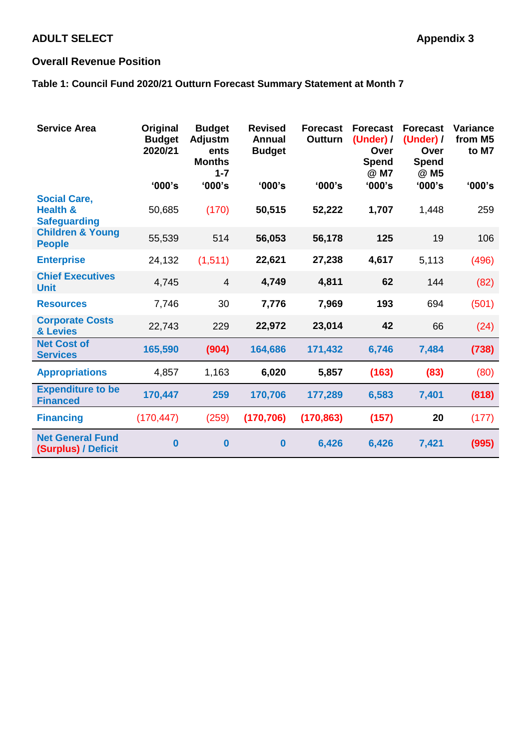# **ADULT SELECT Appendix 3**

# **Overall Revenue Position**

# **Table 1: Council Fund 2020/21 Outturn Forecast Summary Statement at Month 7**

| <b>Service Area</b>                                               | Original<br><b>Budget</b><br>2020/21 | <b>Budget</b><br><b>Adjustm</b><br>ents<br><b>Months</b><br>$1 - 7$ | <b>Revised</b><br><b>Annual</b><br><b>Budget</b> | <b>Forecast</b><br><b>Outturn</b> | <b>Forecast</b><br>(Under) /<br>Over<br>Spend<br>@ M7 | <b>Forecast</b><br>(Under) /<br>Over<br><b>Spend</b><br>@ M5 | <b>Variance</b><br>from M5<br>to M7 |
|-------------------------------------------------------------------|--------------------------------------|---------------------------------------------------------------------|--------------------------------------------------|-----------------------------------|-------------------------------------------------------|--------------------------------------------------------------|-------------------------------------|
|                                                                   | '000's                               | '000's                                                              | '000's                                           | '000's                            | '000's                                                | '000's                                                       | '000's                              |
| <b>Social Care,</b><br><b>Health &amp;</b><br><b>Safeguarding</b> | 50,685                               | (170)                                                               | 50,515                                           | 52,222                            | 1,707                                                 | 1,448                                                        | 259                                 |
| <b>Children &amp; Young</b><br><b>People</b>                      | 55,539                               | 514                                                                 | 56,053                                           | 56,178                            | 125                                                   | 19                                                           | 106                                 |
| <b>Enterprise</b>                                                 | 24,132                               | (1, 511)                                                            | 22,621                                           | 27,238                            | 4,617                                                 | 5,113                                                        | (496)                               |
| <b>Chief Executives</b><br><b>Unit</b>                            | 4,745                                | $\overline{4}$                                                      | 4,749                                            | 4,811                             | 62                                                    | 144                                                          | (82)                                |
| <b>Resources</b>                                                  | 7,746                                | 30                                                                  | 7,776                                            | 7,969                             | 193                                                   | 694                                                          | (501)                               |
| <b>Corporate Costs</b><br>& Levies                                | 22,743                               | 229                                                                 | 22,972                                           | 23,014                            | 42                                                    | 66                                                           | (24)                                |
| <b>Net Cost of</b><br><b>Services</b>                             | 165,590                              | (904)                                                               | 164,686                                          | 171,432                           | 6,746                                                 | 7,484                                                        | (738)                               |
| <b>Appropriations</b>                                             | 4,857                                | 1,163                                                               | 6,020                                            | 5,857                             | (163)                                                 | (83)                                                         | (80)                                |
| <b>Expenditure to be</b><br><b>Financed</b>                       | 170,447                              | 259                                                                 | 170,706                                          | 177,289                           | 6,583                                                 | 7,401                                                        | (818)                               |
| <b>Financing</b>                                                  | (170, 447)                           | (259)                                                               | (170, 706)                                       | (170, 863)                        | (157)                                                 | 20                                                           | (177)                               |
| <b>Net General Fund</b><br>(Surplus) / Deficit                    | $\bf{0}$                             | $\bf{0}$                                                            | $\bf{0}$                                         | 6,426                             | 6,426                                                 | 7,421                                                        | (995)                               |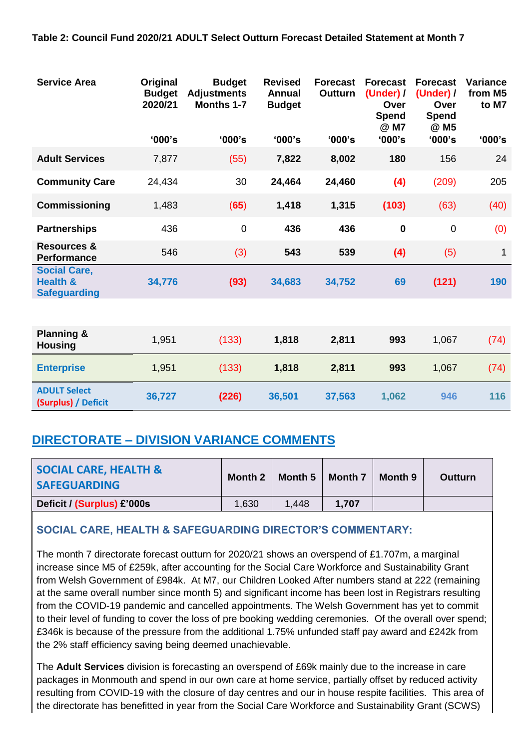## **Table 2: Council Fund 2020/21 ADULT Select Outturn Forecast Detailed Statement at Month 7**

| <b>Service Area</b>                                               | Original<br><b>Budget</b><br>2020/21 | <b>Budget</b><br><b>Adjustments</b><br><b>Months 1-7</b> | <b>Revised</b><br><b>Annual</b><br><b>Budget</b> | <b>Forecast</b><br><b>Outturn</b> | <b>Forecast</b><br>(Under) /<br>Over<br><b>Spend</b><br>@ M7 | <b>Forecast</b><br>(Under) /<br>Over<br>Spend<br>@ M5 | <b>Variance</b><br>from M5<br>to M7 |
|-------------------------------------------------------------------|--------------------------------------|----------------------------------------------------------|--------------------------------------------------|-----------------------------------|--------------------------------------------------------------|-------------------------------------------------------|-------------------------------------|
|                                                                   | '000's                               | '000's                                                   | '000's                                           | '000's                            | '000's                                                       | '000's                                                | '000's                              |
| <b>Adult Services</b>                                             | 7,877                                | (55)                                                     | 7,822                                            | 8,002                             | 180                                                          | 156                                                   | 24                                  |
| <b>Community Care</b>                                             | 24,434                               | 30                                                       | 24,464                                           | 24,460                            | (4)                                                          | (209)                                                 | 205                                 |
| Commissioning                                                     | 1,483                                | (65)                                                     | 1,418                                            | 1,315                             | (103)                                                        | (63)                                                  | (40)                                |
| <b>Partnerships</b>                                               | 436                                  | $\mathbf 0$                                              | 436                                              | 436                               | $\mathbf 0$                                                  | $\overline{0}$                                        | (0)                                 |
| <b>Resources &amp;</b><br><b>Performance</b>                      | 546                                  | (3)                                                      | 543                                              | 539                               | (4)                                                          | (5)                                                   | 1                                   |
| <b>Social Care,</b><br><b>Health &amp;</b><br><b>Safeguarding</b> | 34,776                               | (93)                                                     | 34,683                                           | 34,752                            | 69                                                           | (121)                                                 | 190                                 |
|                                                                   |                                      |                                                          |                                                  |                                   |                                                              |                                                       |                                     |
| <b>Planning &amp;</b><br><b>Housing</b>                           | 1,951                                | (133)                                                    | 1,818                                            | 2,811                             | 993                                                          | 1,067                                                 | (74)                                |
| <b>Enterprise</b>                                                 | 1,951                                | (133)                                                    | 1,818                                            | 2,811                             | 993                                                          | 1,067                                                 | (74)                                |
| <b>ADULT Select</b><br>(Surplus) / Deficit                        | 36,727                               | (226)                                                    | 36,501                                           | 37,563                            | 1,062                                                        | 946                                                   | 116                                 |

# **DIRECTORATE – DIVISION VARIANCE COMMENTS**

| <b>SOCIAL CARE, HEALTH &amp;</b><br><b>SAFEGUARDING</b> | Month 2 | Month 5 | Month 7 | Month 9 | <b>Outturn</b> |
|---------------------------------------------------------|---------|---------|---------|---------|----------------|
| Deficit / (Surplus) £'000s                              | 1,630   | 1.448   | 1.707   |         |                |

# **SOCIAL CARE, HEALTH & SAFEGUARDING DIRECTOR'S COMMENTARY:**

The month 7 directorate forecast outturn for 2020/21 shows an overspend of £1.707m, a marginal increase since M5 of £259k, after accounting for the Social Care Workforce and Sustainability Grant from Welsh Government of £984k. At M7, our Children Looked After numbers stand at 222 (remaining at the same overall number since month 5) and significant income has been lost in Registrars resulting from the COVID-19 pandemic and cancelled appointments. The Welsh Government has yet to commit to their level of funding to cover the loss of pre booking wedding ceremonies. Of the overall over spend; £346k is because of the pressure from the additional 1.75% unfunded staff pay award and £242k from the 2% staff efficiency saving being deemed unachievable.

The **Adult Services** division is forecasting an overspend of £69k mainly due to the increase in care packages in Monmouth and spend in our own care at home service, partially offset by reduced activity resulting from COVID-19 with the closure of day centres and our in house respite facilities. This area of the directorate has benefitted in year from the Social Care Workforce and Sustainability Grant (SCWS)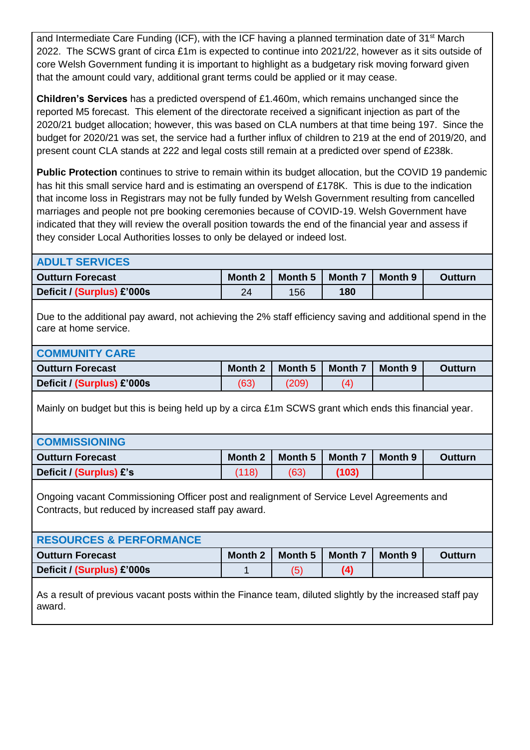and Intermediate Care Funding (ICF), with the ICF having a planned termination date of 31<sup>st</sup> March 2022. The SCWS grant of circa £1m is expected to continue into 2021/22, however as it sits outside of core Welsh Government funding it is important to highlight as a budgetary risk moving forward given that the amount could vary, additional grant terms could be applied or it may cease.

**Children's Services** has a predicted overspend of £1.460m, which remains unchanged since the reported M5 forecast. This element of the directorate received a significant injection as part of the 2020/21 budget allocation; however, this was based on CLA numbers at that time being 197. Since the budget for 2020/21 was set, the service had a further influx of children to 219 at the end of 2019/20, and present count CLA stands at 222 and legal costs still remain at a predicted over spend of £238k.

**Public Protection** continues to strive to remain within its budget allocation, but the COVID 19 pandemic has hit this small service hard and is estimating an overspend of £178K. This is due to the indication that income loss in Registrars may not be fully funded by Welsh Government resulting from cancelled marriages and people not pre booking ceremonies because of COVID-19. Welsh Government have indicated that they will review the overall position towards the end of the financial year and assess if they consider Local Authorities losses to only be delayed or indeed lost.

| <b>ADULT SERVICES</b>                                                                                                                             |                |                    |                |         |                |  |  |
|---------------------------------------------------------------------------------------------------------------------------------------------------|----------------|--------------------|----------------|---------|----------------|--|--|
| <b>Outturn Forecast</b>                                                                                                                           | Month 2        | Month 5            | Month 7        | Month 9 | <b>Outturn</b> |  |  |
| Deficit / (Surplus) £'000s                                                                                                                        | 24             | 156                | 180            |         |                |  |  |
| Due to the additional pay award, not achieving the 2% staff efficiency saving and additional spend in the<br>care at home service.                |                |                    |                |         |                |  |  |
| <b>COMMUNITY CARE</b>                                                                                                                             |                |                    |                |         |                |  |  |
| <b>Outturn Forecast</b>                                                                                                                           | Month 2        | Month 5            | Month 7        | Month 9 | <b>Outturn</b> |  |  |
| Deficit / (Surplus) £'000s                                                                                                                        | (63)           | (209)              | (4)            |         |                |  |  |
| Mainly on budget but this is being held up by a circa £1m SCWS grant which ends this financial year.                                              |                |                    |                |         |                |  |  |
| <b>COMMISSIONING</b>                                                                                                                              |                |                    |                |         |                |  |  |
| <b>Outturn Forecast</b>                                                                                                                           | Month 2        | Month 5            | <b>Month 7</b> | Month 9 | <b>Outturn</b> |  |  |
| Deficit / (Surplus) £'s                                                                                                                           | (118)          | (63)               | (103)          |         |                |  |  |
| Ongoing vacant Commissioning Officer post and realignment of Service Level Agreements and<br>Contracts, but reduced by increased staff pay award. |                |                    |                |         |                |  |  |
| <b>RESOURCES &amp; PERFORMANCE</b>                                                                                                                |                |                    |                |         |                |  |  |
| <b>Outturn Forecast</b>                                                                                                                           | <b>Month 2</b> | Month <sub>5</sub> | <b>Month 7</b> | Month 9 | <b>Outturn</b> |  |  |
| Deficit / (Surplus) £'000s                                                                                                                        | $\mathbf 1$    | (5)                | (4)            |         |                |  |  |
| As a result of previous vacant posts within the Finance team, diluted slightly by the increased staff pay<br>award.                               |                |                    |                |         |                |  |  |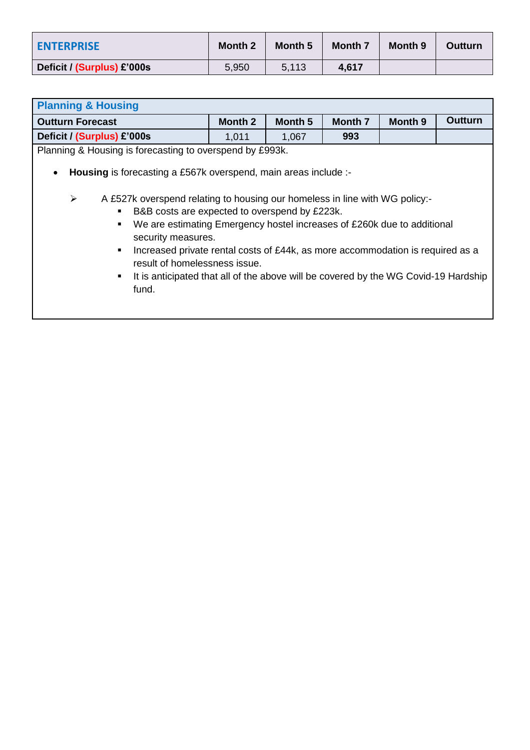| <b>ENTERPRISE</b>          | <b>Month 2</b> | Month 5 | Month 7 | Month 9 | <b>Outturn</b> |
|----------------------------|----------------|---------|---------|---------|----------------|
| Deficit / (Surplus) £'000s | 5,950          | 5.113   | 4.617   |         |                |

| <b>Planning &amp; Housing</b>                                                                                                                                                                                                                                                                                                                                                                                                                                                                                                                          |                       |  |  |  |  |  |  |
|--------------------------------------------------------------------------------------------------------------------------------------------------------------------------------------------------------------------------------------------------------------------------------------------------------------------------------------------------------------------------------------------------------------------------------------------------------------------------------------------------------------------------------------------------------|-----------------------|--|--|--|--|--|--|
| Outturn<br>Month 2<br>Month 5<br><b>Month 7</b><br>Month 9<br><b>Outturn Forecast</b>                                                                                                                                                                                                                                                                                                                                                                                                                                                                  |                       |  |  |  |  |  |  |
| Deficit / (Surplus) £'000s                                                                                                                                                                                                                                                                                                                                                                                                                                                                                                                             | 1,011<br>1,067<br>993 |  |  |  |  |  |  |
| Planning & Housing is forecasting to overspend by £993k.                                                                                                                                                                                                                                                                                                                                                                                                                                                                                               |                       |  |  |  |  |  |  |
| Housing is forecasting a £567k overspend, main areas include :-<br>$\blacktriangleright$<br>A £527k overspend relating to housing our homeless in line with WG policy:-<br>B&B costs are expected to overspend by £223k.<br>We are estimating Emergency hostel increases of £260k due to additional<br>security measures.<br>Increased private rental costs of £44k, as more accommodation is required as a<br>٠<br>result of homelessness issue.<br>It is anticipated that all of the above will be covered by the WG Covid-19 Hardship<br>٠<br>fund. |                       |  |  |  |  |  |  |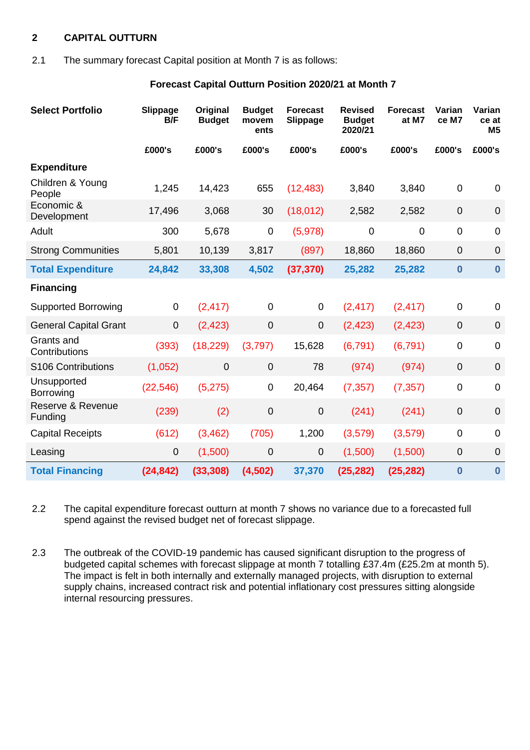## **2 CAPITAL OUTTURN**

#### 2.1 The summary forecast Capital position at Month 7 is as follows:

#### **Forecast Capital Outturn Position 2020/21 at Month 7**

| <b>Select Portfolio</b>      | Slippage<br>B/F | Original<br><b>Budget</b> | <b>Budget</b><br>movem<br>ents | <b>Forecast</b><br><b>Slippage</b> | <b>Revised</b><br><b>Budget</b><br>2020/21 | <b>Forecast</b><br>at M7 | Varian<br>ce M7  | Varian<br>ce at<br>M <sub>5</sub> |
|------------------------------|-----------------|---------------------------|--------------------------------|------------------------------------|--------------------------------------------|--------------------------|------------------|-----------------------------------|
|                              | £000's          | £000's                    | £000's                         | £000's                             | £000's                                     | £000's                   | £000's           | £000's                            |
| <b>Expenditure</b>           |                 |                           |                                |                                    |                                            |                          |                  |                                   |
| Children & Young<br>People   | 1,245           | 14,423                    | 655                            | (12, 483)                          | 3,840                                      | 3,840                    | $\mathbf{0}$     | 0                                 |
| Economic &<br>Development    | 17,496          | 3,068                     | 30                             | (18, 012)                          | 2,582                                      | 2,582                    | $\boldsymbol{0}$ | $\mathbf 0$                       |
| Adult                        | 300             | 5,678                     | $\mathbf 0$                    | (5,978)                            | $\boldsymbol{0}$                           | $\pmb{0}$                | $\mathbf 0$      | $\mathbf 0$                       |
| <b>Strong Communities</b>    | 5,801           | 10,139                    | 3,817                          | (897)                              | 18,860                                     | 18,860                   | $\mathbf 0$      | $\mathbf 0$                       |
| <b>Total Expenditure</b>     | 24,842          | 33,308                    | 4,502                          | (37, 370)                          | 25,282                                     | 25,282                   | $\boldsymbol{0}$ | $\bf{0}$                          |
| <b>Financing</b>             |                 |                           |                                |                                    |                                            |                          |                  |                                   |
| <b>Supported Borrowing</b>   | $\mathbf 0$     | (2, 417)                  | $\overline{0}$                 | 0                                  | (2, 417)                                   | (2, 417)                 | $\mathbf 0$      | 0                                 |
| <b>General Capital Grant</b> | $\mathbf 0$     | (2, 423)                  | $\mathbf 0$                    | 0                                  | (2, 423)                                   | (2, 423)                 | $\overline{0}$   | $\overline{0}$                    |
| Grants and<br>Contributions  | (393)           | (18, 229)                 | (3,797)                        | 15,628                             | (6, 791)                                   | (6, 791)                 | $\mathbf 0$      | $\Omega$                          |
| S106 Contributions           | (1,052)         | $\overline{0}$            | $\mathbf 0$                    | 78                                 | (974)                                      | (974)                    | $\mathbf 0$      | $\overline{0}$                    |
| Unsupported<br>Borrowing     | (22, 546)       | (5,275)                   | $\mathbf 0$                    | 20,464                             | (7, 357)                                   | (7, 357)                 | $\pmb{0}$        | $\overline{0}$                    |
| Reserve & Revenue<br>Funding | (239)           | (2)                       | $\boldsymbol{0}$               | $\boldsymbol{0}$                   | (241)                                      | (241)                    | $\pmb{0}$        | $\mathbf 0$                       |
| <b>Capital Receipts</b>      | (612)           | (3, 462)                  | (705)                          | 1,200                              | (3,579)                                    | (3, 579)                 | $\pmb{0}$        | $\overline{0}$                    |
| Leasing                      | 0               | (1,500)                   | $\mathbf 0$                    | 0                                  | (1,500)                                    | (1,500)                  | $\mathbf 0$      | $\mathbf 0$                       |
| <b>Total Financing</b>       | (24, 842)       | (33, 308)                 | (4,502)                        | 37,370                             | (25, 282)                                  | (25, 282)                | $\bf{0}$         | $\bf{0}$                          |

2.2 The capital expenditure forecast outturn at month 7 shows no variance due to a forecasted full spend against the revised budget net of forecast slippage.

2.3 The outbreak of the COVID-19 pandemic has caused significant disruption to the progress of budgeted capital schemes with forecast slippage at month 7 totalling £37.4m (£25.2m at month 5). The impact is felt in both internally and externally managed projects, with disruption to external supply chains, increased contract risk and potential inflationary cost pressures sitting alongside internal resourcing pressures.